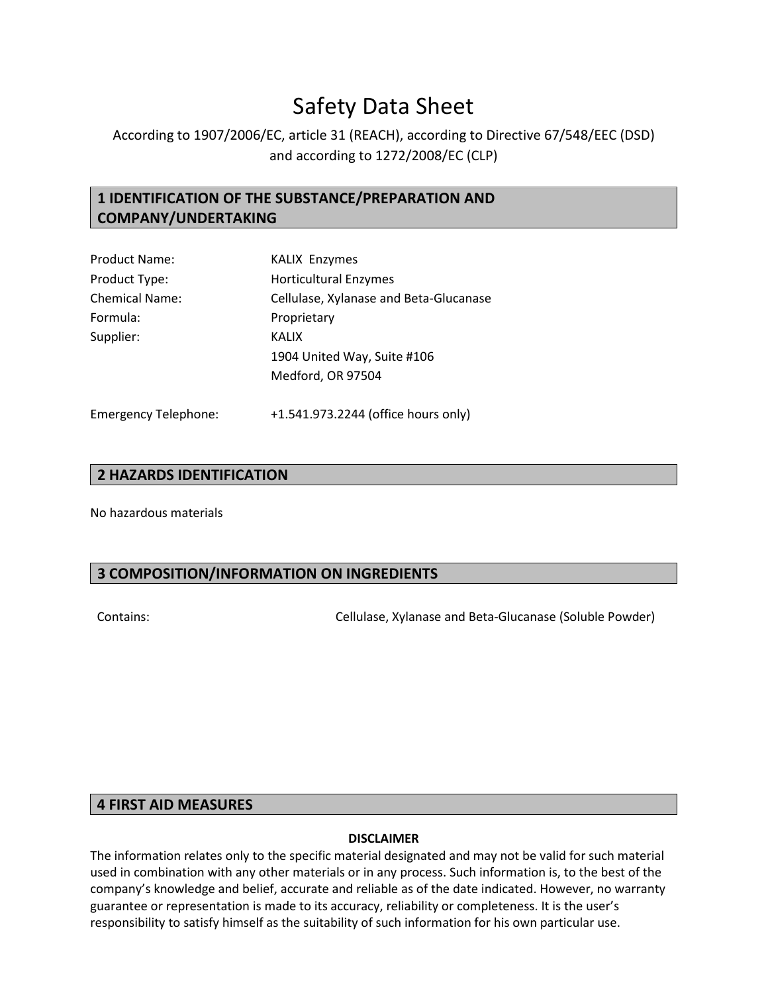# Safety Data Sheet

# According to 1907/2006/EC, article 31 (REACH), according to Directive 67/548/EEC (DSD) and according to 1272/2008/EC (CLP)

# **1 IDENTIFICATION OF THE SUBSTANCE/PREPARATION AND COMPANY/UNDERTAKING**

| <b>Product Name:</b>  | <b>KALIX Enzymes</b>                   |  |
|-----------------------|----------------------------------------|--|
| Product Type:         | <b>Horticultural Enzymes</b>           |  |
| <b>Chemical Name:</b> | Cellulase, Xylanase and Beta-Glucanase |  |
| Formula:              | Proprietary                            |  |
| Supplier:             | <b>KALIX</b>                           |  |
|                       | 1904 United Way, Suite #106            |  |
|                       | Medford, OR 97504                      |  |
|                       |                                        |  |
|                       |                                        |  |

Emergency Telephone: +1.541.973.2244 (office hours only)

# **2 HAZARDS IDENTIFICATION**

No hazardous materials

# **3 COMPOSITION/INFORMATION ON INGREDIENTS**

Contains: Cellulase, Xylanase and Beta-Glucanase (Soluble Powder)

# **4 FIRST AID MEASURES**

#### **DISCLAIMER**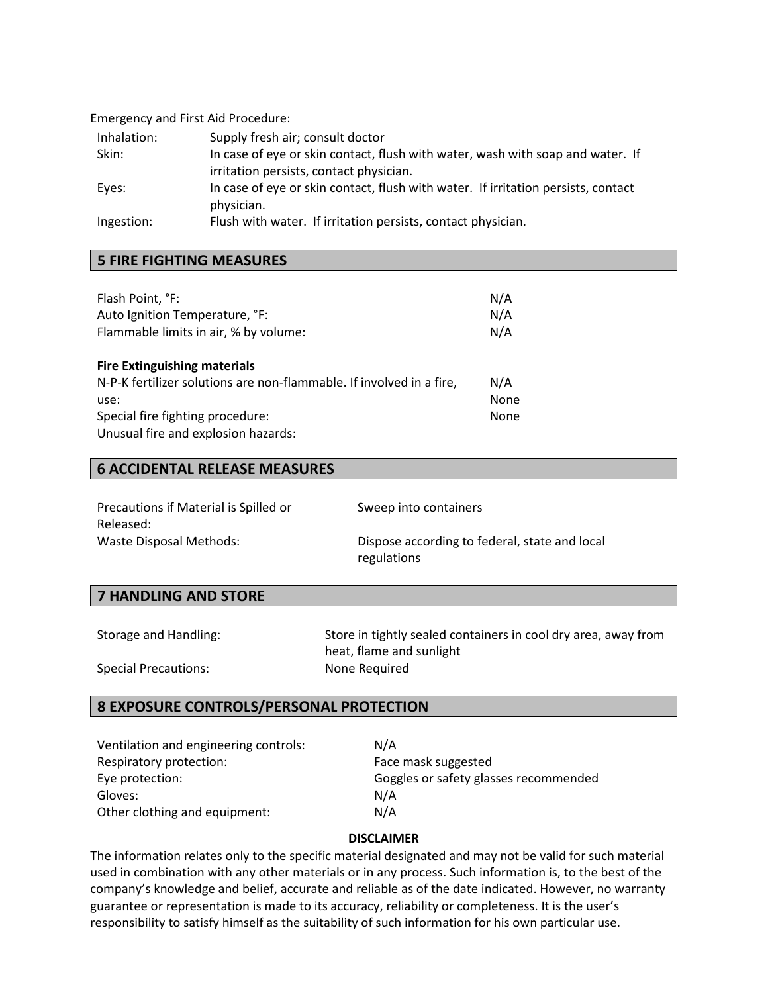Emergency and First Aid Procedure:

| Inhalation: | Supply fresh air; consult doctor                                                  |
|-------------|-----------------------------------------------------------------------------------|
| Skin:       | In case of eye or skin contact, flush with water, wash with soap and water. If    |
|             | irritation persists, contact physician.                                           |
| Eyes:       | In case of eye or skin contact, flush with water. If irritation persists, contact |
|             | physician.                                                                        |
| Ingestion:  | Flush with water. If irritation persists, contact physician.                      |

## **5 FIRE FIGHTING MEASURES**

| Flash Point, °F:                                                     | N/A         |
|----------------------------------------------------------------------|-------------|
| Auto Ignition Temperature, °F:                                       | N/A         |
| Flammable limits in air, % by volume:                                | N/A         |
| <b>Fire Extinguishing materials</b>                                  |             |
| N-P-K fertilizer solutions are non-flammable. If involved in a fire, | N/A         |
| use:                                                                 | <b>None</b> |
| Special fire fighting procedure:                                     | None        |
| Unusual fire and explosion hazards:                                  |             |

## **6 ACCIDENTAL RELEASE MEASURES**

| Precautions if Material is Spilled or | Sweep into containers                         |
|---------------------------------------|-----------------------------------------------|
| Released:                             |                                               |
| Waste Disposal Methods:               | Dispose according to federal, state and local |
|                                       | regulations                                   |

# **7 HANDLING AND STORE**

Storage and Handling: Store in tightly sealed containers in cool dry area, away from heat, flame and sunlight Special Precautions: None Required

# **8 EXPOSURE CONTROLS/PERSONAL PROTECTION**

| Ventilation and engineering controls: | N/A                                   |
|---------------------------------------|---------------------------------------|
| Respiratory protection:               | Face mask suggested                   |
| Eye protection:                       | Goggles or safety glasses recommended |
| Gloves:                               | N/A                                   |
| Other clothing and equipment:         | N/A                                   |

#### **DISCLAIMER**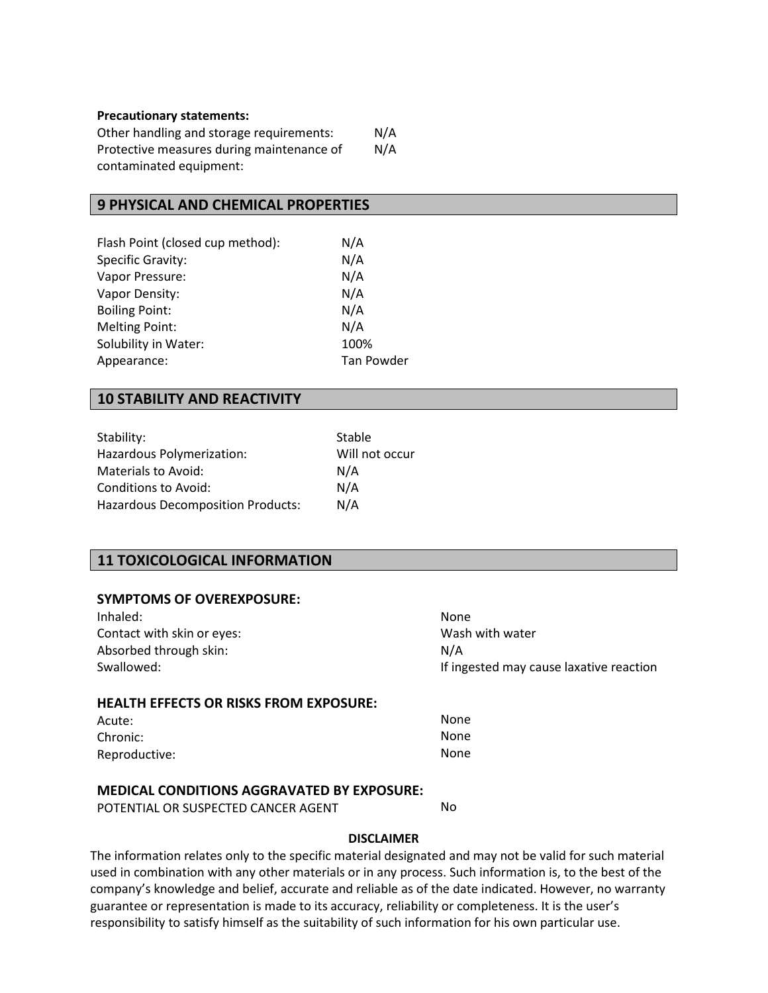#### **Precautionary statements:**

Other handling and storage requirements: Protective measures during maintenance of contaminated equipment: N/A N/A

#### **9 PHYSICAL AND CHEMICAL PROPERTIES**

| Flash Point (closed cup method): | N/A               |
|----------------------------------|-------------------|
| <b>Specific Gravity:</b>         | N/A               |
| Vapor Pressure:                  | N/A               |
| Vapor Density:                   | N/A               |
| <b>Boiling Point:</b>            | N/A               |
| <b>Melting Point:</b>            | N/A               |
| Solubility in Water:             | 100%              |
| Appearance:                      | <b>Tan Powder</b> |

#### **10 STABILITY AND REACTIVITY**

| Stability:                        | Stable         |
|-----------------------------------|----------------|
| Hazardous Polymerization:         | Will not occur |
| Materials to Avoid:               | N/A            |
| Conditions to Avoid:              | N/A            |
| Hazardous Decomposition Products: | N/A            |

# **11 TOXICOLOGICAL INFORMATION**

#### **SYMPTOMS OF OVEREXPOSURE:**

| Inhaled:                                | None                                    |
|-----------------------------------------|-----------------------------------------|
| Contact with skin or eyes:              | Wash with water                         |
| Absorbed through skin:                  | N/A                                     |
| Swallowed:                              | If ingested may cause laxative reaction |
|                                         |                                         |
| HEAITH ECCECTS OD DISKS CDOM EVDOSIJDE. |                                         |

#### **HEALTH EFFECTS OR RISKS FROM EXPOSURE:**

| Acute:        | None |
|---------------|------|
| Chronic:      | None |
| Reproductive: | None |

#### **MEDICAL CONDITIONS AGGRAVATED BY EXPOSURE:**

POTENTIAL OR SUSPECTED CANCER AGENT

No

#### **DISCLAIMER**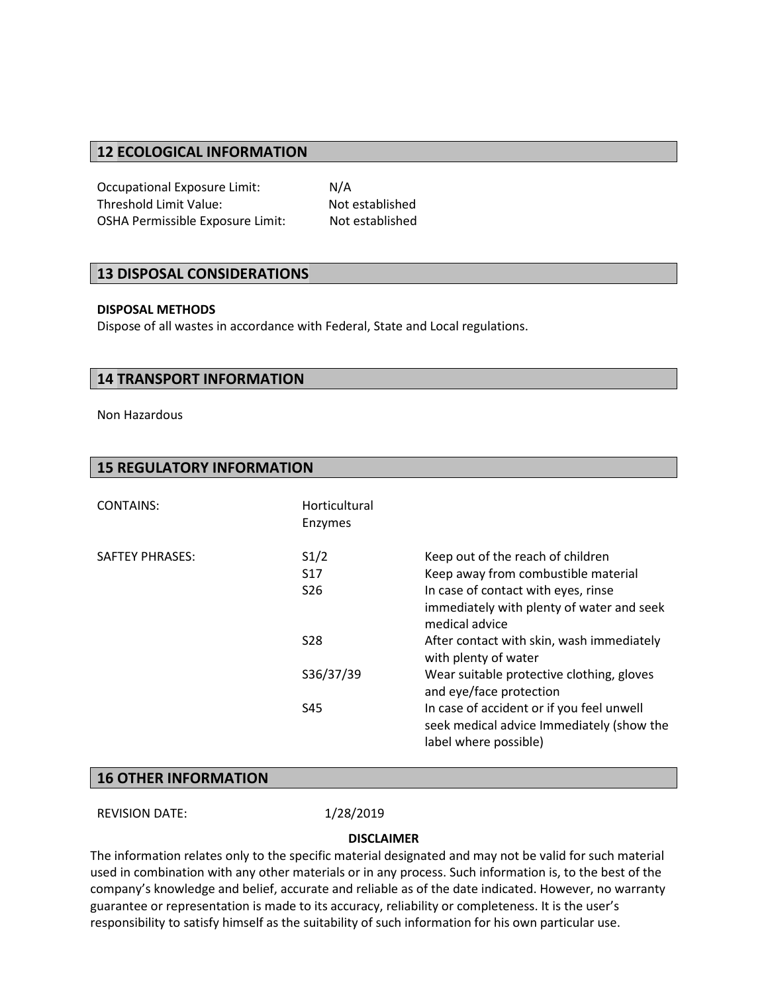## **12 ECOLOGICAL INFORMATION**

Occupational Exposure Limit: N/A Threshold Limit Value: Not established OSHA Permissible Exposure Limit: Not established

#### **13 DISPOSAL CONSIDERATIONS**

#### **DISPOSAL METHODS**

Dispose of all wastes in accordance with Federal, State and Local regulations.

#### **14 TRANSPORT INFORMATION**

Non Hazardous

| <b>CONTAINS:</b>       | Horticultural<br>Enzymes |                                                                                                                 |
|------------------------|--------------------------|-----------------------------------------------------------------------------------------------------------------|
| <b>SAFTEY PHRASES:</b> | S1/2                     | Keep out of the reach of children                                                                               |
|                        | S <sub>17</sub>          | Keep away from combustible material                                                                             |
|                        | S <sub>26</sub>          | In case of contact with eyes, rinse                                                                             |
|                        |                          | immediately with plenty of water and seek<br>medical advice                                                     |
|                        | <b>S28</b>               | After contact with skin, wash immediately<br>with plenty of water                                               |
|                        | S36/37/39                | Wear suitable protective clothing, gloves<br>and eye/face protection                                            |
|                        | S45                      | In case of accident or if you feel unwell<br>seek medical advice Immediately (show the<br>label where possible) |

#### **16 OTHER INFORMATION**

REVISION DATE: 1/28/2019

#### **DISCLAIMER**